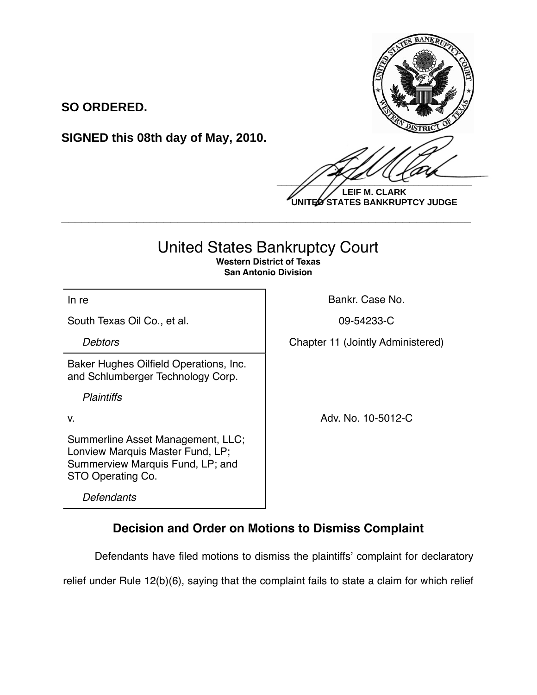

**LEIF M. CLARK UNITED STATES BANKRUPTCY JUDGE**

## United States Bankruptcy Court

**\_\_\_\_\_\_\_\_\_\_\_\_\_\_\_\_\_\_\_\_\_\_\_\_\_\_\_\_\_\_\_\_\_\_\_\_\_\_\_\_\_\_\_\_\_\_\_\_\_\_\_\_\_\_\_\_\_\_\_\_**

**Western District of Texas San Antonio Division**

South Texas Oil Co., et al. 1992 109-54233-C

**SO ORDERED.**

Baker Hughes Oilfield Operations, Inc. and Schlumberger Technology Corp.

**SIGNED this 08th day of May, 2010.**

*Plaintiffs*

Summerline Asset Management, LLC; Lonview Marquis Master Fund, LP; Summerview Marquis Fund, LP; and STO Operating Co.

*Defendants*

In re **Bankr.** Case No.

**Debtors Chapter 11 (Jointly Administered)** 

v. Adv. No. 10-5012-C

## **Decision and Order on Motions to Dismiss Complaint**

Defendants have filed motions to dismiss the plaintiffs' complaint for declaratory

relief under Rule 12(b)(6), saying that the complaint fails to state a claim for which relief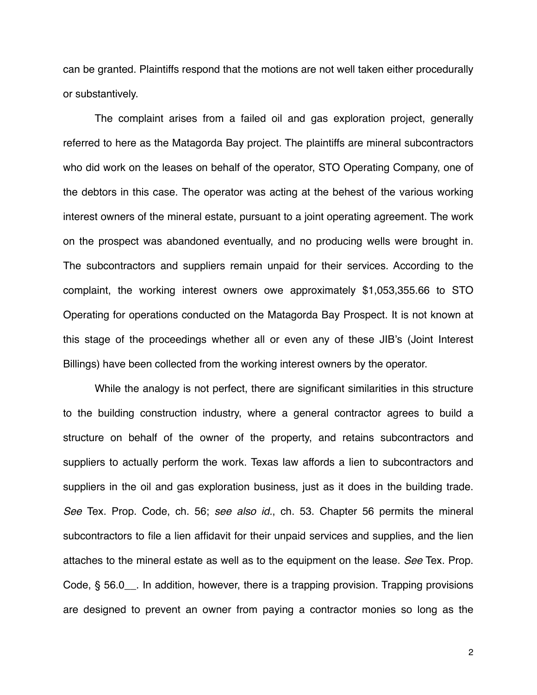can be granted. Plaintiffs respond that the motions are not well taken either procedurally or substantively.

The complaint arises from a failed oil and gas exploration project, generally referred to here as the Matagorda Bay project. The plaintiffs are mineral subcontractors who did work on the leases on behalf of the operator, STO Operating Company, one of the debtors in this case. The operator was acting at the behest of the various working interest owners of the mineral estate, pursuant to a joint operating agreement. The work on the prospect was abandoned eventually, and no producing wells were brought in. The subcontractors and suppliers remain unpaid for their services. According to the complaint, the working interest owners owe approximately \$1,053,355.66 to STO Operating for operations conducted on the Matagorda Bay Prospect. It is not known at this stage of the proceedings whether all or even any of these JIB's (Joint Interest Billings) have been collected from the working interest owners by the operator.

While the analogy is not perfect, there are significant similarities in this structure to the building construction industry, where a general contractor agrees to build a structure on behalf of the owner of the property, and retains subcontractors and suppliers to actually perform the work. Texas law affords a lien to subcontractors and suppliers in the oil and gas exploration business, just as it does in the building trade. *See* Tex. Prop. Code, ch. 56; *see also id.*, ch. 53. Chapter 56 permits the mineral subcontractors to file a lien affidavit for their unpaid services and supplies, and the lien attaches to the mineral estate as well as to the equipment on the lease. *See* Tex. Prop. Code, § 56.0\_\_. In addition, however, there is a trapping provision. Trapping provisions are designed to prevent an owner from paying a contractor monies so long as the

2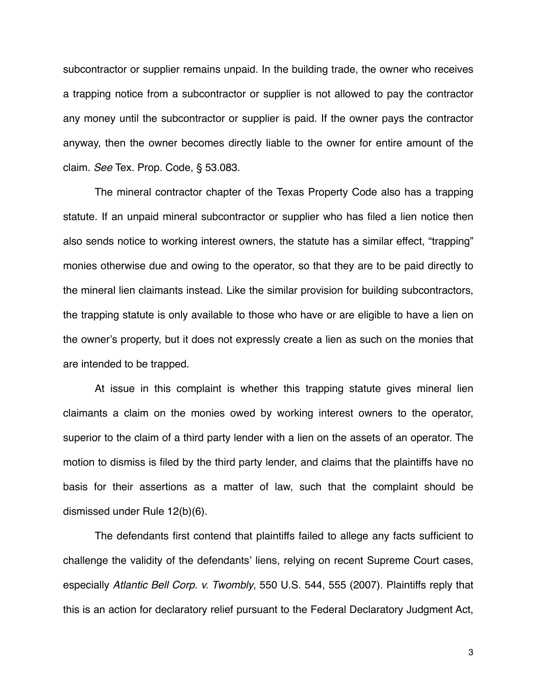subcontractor or supplier remains unpaid. In the building trade, the owner who receives a trapping notice from a subcontractor or supplier is not allowed to pay the contractor any money until the subcontractor or supplier is paid. If the owner pays the contractor anyway, then the owner becomes directly liable to the owner for entire amount of the claim. *See* Tex. Prop. Code, § 53.083.

The mineral contractor chapter of the Texas Property Code also has a trapping statute. If an unpaid mineral subcontractor or supplier who has filed a lien notice then also sends notice to working interest owners, the statute has a similar effect, "trapping" monies otherwise due and owing to the operator, so that they are to be paid directly to the mineral lien claimants instead. Like the similar provision for building subcontractors, the trapping statute is only available to those who have or are eligible to have a lien on the owner's property, but it does not expressly create a lien as such on the monies that are intended to be trapped.

At issue in this complaint is whether this trapping statute gives mineral lien claimants a claim on the monies owed by working interest owners to the operator, superior to the claim of a third party lender with a lien on the assets of an operator. The motion to dismiss is filed by the third party lender, and claims that the plaintiffs have no basis for their assertions as a matter of law, such that the complaint should be dismissed under Rule 12(b)(6).

The defendants first contend that plaintiffs failed to allege any facts sufficient to challenge the validity of the defendants' liens, relying on recent Supreme Court cases, especially *Atlantic Bell Corp. v. Twombly*, 550 U.S. 544, 555 (2007). Plaintiffs reply that this is an action for declaratory relief pursuant to the Federal Declaratory Judgment Act,

3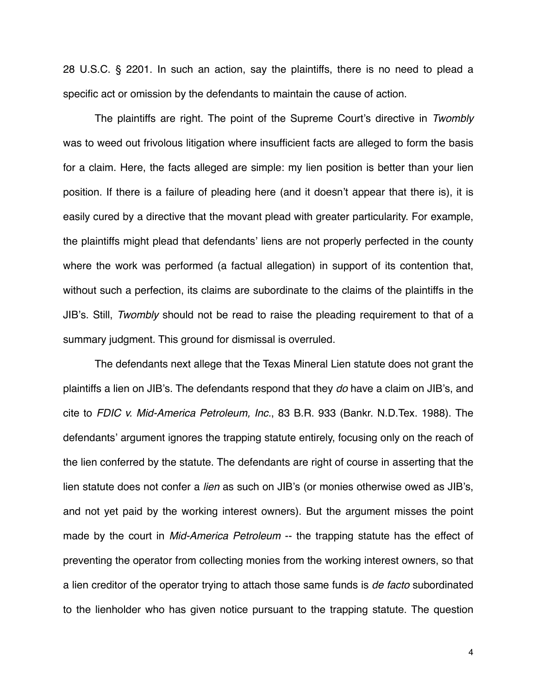28 U.S.C. § 2201. In such an action, say the plaintiffs, there is no need to plead a specific act or omission by the defendants to maintain the cause of action.

The plaintiffs are right. The point of the Supreme Court's directive in *Twombly* was to weed out frivolous litigation where insufficient facts are alleged to form the basis for a claim. Here, the facts alleged are simple: my lien position is better than your lien position. If there is a failure of pleading here (and it doesn't appear that there is), it is easily cured by a directive that the movant plead with greater particularity. For example, the plaintiffs might plead that defendants' liens are not properly perfected in the county where the work was performed (a factual allegation) in support of its contention that, without such a perfection, its claims are subordinate to the claims of the plaintiffs in the JIB's. Still, *Twombly* should not be read to raise the pleading requirement to that of a summary judgment. This ground for dismissal is overruled.

The defendants next allege that the Texas Mineral Lien statute does not grant the plaintiffs a lien on JIB's. The defendants respond that they *do* have a claim on JIB's, and cite to *FDIC v. Mid-America Petroleum, Inc.*, 83 B.R. 933 (Bankr. N.D.Tex. 1988). The defendants' argument ignores the trapping statute entirely, focusing only on the reach of the lien conferred by the statute. The defendants are right of course in asserting that the lien statute does not confer a *lien* as such on JIB's (or monies otherwise owed as JIB's, and not yet paid by the working interest owners). But the argument misses the point made by the court in *Mid-America Petroleum* -- the trapping statute has the effect of preventing the operator from collecting monies from the working interest owners, so that a lien creditor of the operator trying to attach those same funds is *de facto* subordinated to the lienholder who has given notice pursuant to the trapping statute. The question

4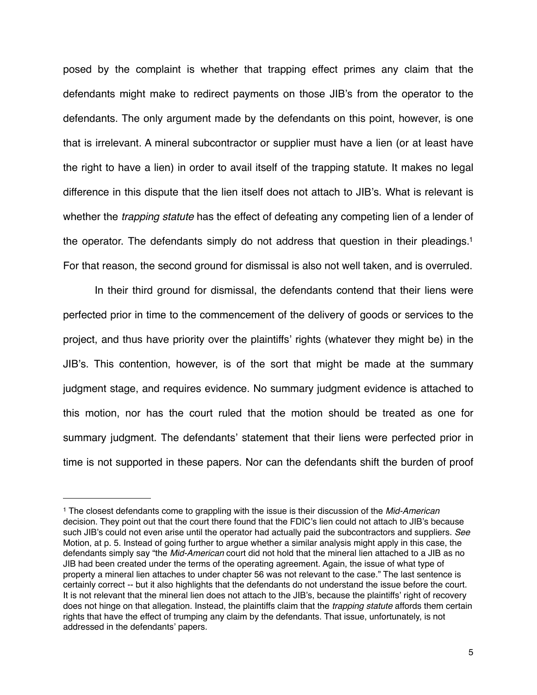posed by the complaint is whether that trapping effect primes any claim that the defendants might make to redirect payments on those JIB's from the operator to the defendants. The only argument made by the defendants on this point, however, is one that is irrelevant. A mineral subcontractor or supplier must have a lien (or at least have the right to have a lien) in order to avail itself of the trapping statute. It makes no legal difference in this dispute that the lien itself does not attach to JIB's. What is relevant is whether the *trapping statute* has the effect of defeating any competing lien of a lender of the operator. The defendants simply do not address that question in their pleadings[.1](#page-4-0) For that reason, the second ground for dismissal is also not well taken, and is overruled.

In their third ground for dismissal, the defendants contend that their liens were perfected prior in time to the commencement of the delivery of goods or services to the project, and thus have priority over the plaintiffs' rights (whatever they might be) in the JIB's. This contention, however, is of the sort that might be made at the summary judgment stage, and requires evidence. No summary judgment evidence is attached to this motion, nor has the court ruled that the motion should be treated as one for summary judgment. The defendants' statement that their liens were perfected prior in time is not supported in these papers. Nor can the defendants shift the burden of proof

<span id="page-4-0"></span><sup>1</sup> The closest defendants come to grappling with the issue is their discussion of the *Mid-American* decision. They point out that the court there found that the FDIC's lien could not attach to JIB's because such JIB's could not even arise until the operator had actually paid the subcontractors and suppliers. *See* Motion, at p. 5. Instead of going further to argue whether a similar analysis might apply in this case, the defendants simply say "the *Mid-American* court did not hold that the mineral lien attached to a JIB as no JIB had been created under the terms of the operating agreement. Again, the issue of what type of property a mineral lien attaches to under chapter 56 was not relevant to the case." The last sentence is certainly correct -- but it also highlights that the defendants do not understand the issue before the court. It is not relevant that the mineral lien does not attach to the JIB's, because the plaintiffs' right of recovery does not hinge on that allegation. Instead, the plaintiffs claim that the *trapping statute* affords them certain rights that have the effect of trumping any claim by the defendants. That issue, unfortunately, is not addressed in the defendants' papers.